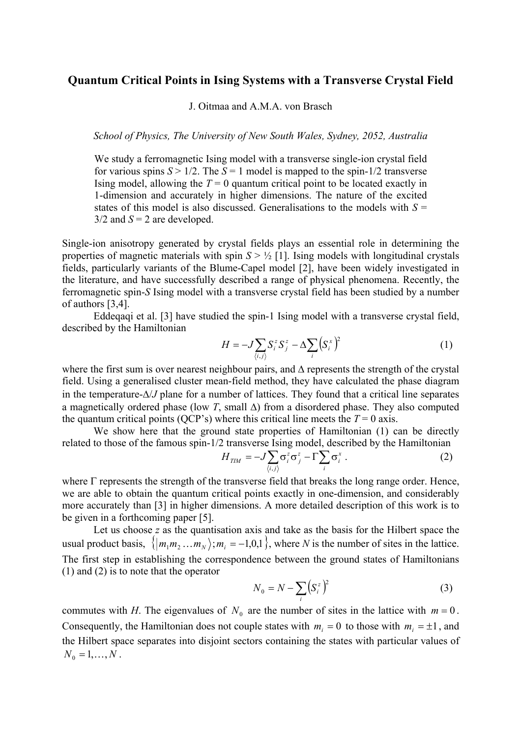## **Quantum Critical Points in Ising Systems with a Transverse Crystal Field**

J. Oitmaa and A.M.A. von Brasch

*School of Physics, The University of New South Wales, Sydney, 2052, Australia* 

We study a ferromagnetic Ising model with a transverse single-ion crystal field for various spins  $S > 1/2$ . The  $S = 1$  model is mapped to the spin-1/2 transverse Ising model, allowing the  $T = 0$  quantum critical point to be located exactly in 1-dimension and accurately in higher dimensions. The nature of the excited states of this model is also discussed. Generalisations to the models with  $S =$  $3/2$  and  $S = 2$  are developed.

Single-ion anisotropy generated by crystal fields plays an essential role in determining the properties of magnetic materials with spin  $S > \frac{1}{2}$  [1]. Ising models with longitudinal crystals fields, particularly variants of the Blume-Capel model [2], have been widely investigated in the literature, and have successfully described a range of physical phenomena. Recently, the ferromagnetic spin-*S* Ising model with a transverse crystal field has been studied by a number of authors [3,4].

Eddeqaqi et al. [3] have studied the spin-1 Ising model with a transverse crystal field, described by the Hamiltonian

$$
H = -J\sum_{\langle i,j\rangle} S_i^z S_j^z - \Delta \sum_i \left(S_i^x\right)^2 \tag{1}
$$

where the first sum is over nearest neighbour pairs, and ∆ represents the strength of the crystal field. Using a generalised cluster mean-field method, they have calculated the phase diagram in the temperature-∆/*J* plane for a number of lattices. They found that a critical line separates a magnetically ordered phase (low *T*, small ∆) from a disordered phase. They also computed the quantum critical points (QCP's) where this critical line meets the  $T = 0$  axis.

We show here that the ground state properties of Hamiltonian (1) can be directly related to those of the famous spin-1/2 transverse Ising model, described by the Hamiltonian

$$
H_{TM} = -J\sum_{\langle i,j\rangle} \sigma_i^z \sigma_j^z - \Gamma \sum_i \sigma_i^x . \qquad (2)
$$

where  $\Gamma$  represents the strength of the transverse field that breaks the long range order. Hence, we are able to obtain the quantum critical points exactly in one-dimension, and considerably more accurately than [3] in higher dimensions. A more detailed description of this work is to be given in a forthcoming paper [5].

Let us choose *z* as the quantisation axis and take as the basis for the Hilbert space the usual product basis,  $\{ |m_1m_2...m_N\rangle; m_i = -1, 0, 1 \}$ , where *N* is the number of sites in the lattice. The first step in establishing the correspondence between the ground states of Hamiltonians (1) and (2) is to note that the operator

$$
N_0 = N - \sum_i \left( S_i^z \right)^2 \tag{3}
$$

commutes with *H*. The eigenvalues of  $N_0$  are the number of sites in the lattice with  $m = 0$ . Consequently, the Hamiltonian does not couple states with  $m_i = 0$  to those with  $m_i = \pm 1$ , and the Hilbert space separates into disjoint sectors containing the states with particular values of  $N_0 = 1, ..., N$ .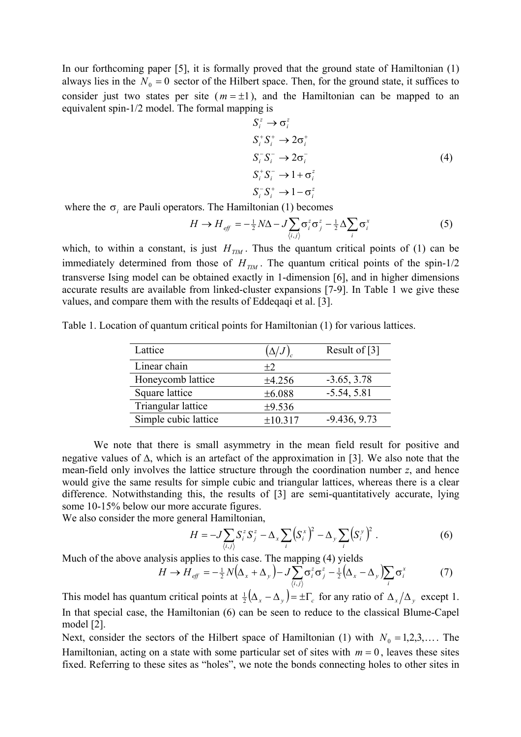In our forthcoming paper [5], it is formally proved that the ground state of Hamiltonian (1) always lies in the  $N_0 = 0$  sector of the Hilbert space. Then, for the ground state, it suffices to consider just two states per site  $(m = \pm 1)$ , and the Hamiltonian can be mapped to an equivalent spin-1/2 model. The formal mapping is

$$
S_i^z \to \sigma_i^z
$$
  
\n
$$
S_i^+ S_i^+ \to 2\sigma_i^+
$$
  
\n
$$
S_i^- S_i^- \to 2\sigma_i^-
$$
  
\n
$$
S_i^+ S_i^- \to 1 + \sigma_i^z
$$
  
\n
$$
S_i^- S_i^+ \to 1 - \sigma_i^z
$$
  
\n(4)

where the  $\sigma_i$  are Pauli operators. The Hamiltonian (1) becomes

$$
H \to H_{\text{eff}} = -\frac{1}{2}N\Delta - J\sum_{\langle i,j\rangle} \sigma_i^z \sigma_j^z - \frac{1}{2} \Delta \sum_i \sigma_i^x \tag{5}
$$

which, to within a constant, is just  $H_{TM}$ . Thus the quantum critical points of (1) can be immediately determined from those of  $H_{TM}$ . The quantum critical points of the spin-1/2 transverse Ising model can be obtained exactly in 1-dimension [6], and in higher dimensions accurate results are available from linked-cluster expansions [7-9]. In Table 1 we give these values, and compare them with the results of Eddeqaqi et al. [3].

Table 1. Location of quantum critical points for Hamiltonian (1) for various lattices.

| Lattice              | $(\Delta/J)_{c}$ | Result of [3]  |
|----------------------|------------------|----------------|
| Linear chain         | $+2$             |                |
| Honeycomb lattice    | ±4.256           | $-3.65, 3.78$  |
| Square lattice       | ±6.088           | $-5.54, 5.81$  |
| Triangular lattice   | ±9.536           |                |
| Simple cubic lattice | ±10.317          | $-9.436, 9.73$ |

We note that there is small asymmetry in the mean field result for positive and negative values of ∆, which is an artefact of the approximation in [3]. We also note that the mean-field only involves the lattice structure through the coordination number *z*, and hence would give the same results for simple cubic and triangular lattices, whereas there is a clear difference. Notwithstanding this, the results of [3] are semi-quantitatively accurate, lying some 10-15% below our more accurate figures.

We also consider the more general Hamiltonian,

$$
H = -J\sum_{\langle i,j\rangle} S_i^z S_j^z - \Delta_x \sum_i \left(S_i^x\right)^2 - \Delta_y \sum_i \left(S_i^y\right)^2. \tag{6}
$$

Much of the above analysis applies to this case. The mapping (4) yields

$$
H \to H_{\text{eff}} = -\frac{1}{2}N(\Delta_x + \Delta_y) - J\sum_{\langle i,j\rangle} \sigma_i^z \sigma_j^z - \frac{1}{2}(\Delta_x - \Delta_y) \sum_i \sigma_i^x \tag{7}
$$

This model has quantum critical points at  $\frac{1}{2} (\Delta_x - \Delta_y) = \pm \Gamma_c$  for any ratio of  $\Delta_x / \Delta_y$  except 1. In that special case, the Hamiltonian (6) can be seen to reduce to the classical Blume-Capel model [2].

Next, consider the sectors of the Hilbert space of Hamiltonian (1) with  $N_0 = 1,2,3,...$  The Hamiltonian, acting on a state with some particular set of sites with  $m = 0$ , leaves these sites fixed. Referring to these sites as "holes", we note the bonds connecting holes to other sites in